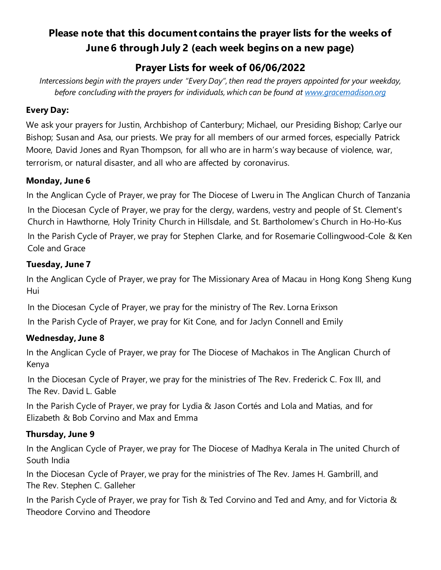# **Please note that this document contains the prayer lists for the weeks of June 6 through July 2 (each week begins on a new page)**

## **Prayer Lists for week of 06/06/2022**

*Intercessions begin with the prayers under "Every Day", then read the prayers appointed for your weekday, before concluding with the prayers for individuals, which can be found at [www.gracemadison.org](http://www.gracemadison.org/)*

#### **Every Day:**

We ask your prayers for Justin, Archbishop of Canterbury; Michael, our Presiding Bishop; Carlye our Bishop; Susan and Asa, our priests. We pray for all members of our armed forces, especially Patrick Moore, David Jones and Ryan Thompson, for all who are in harm's way because of violence, war, terrorism, or natural disaster, and all who are affected by coronavirus.

#### **Monday, June 6**

In the Anglican Cycle of Prayer, we pray for The Diocese of Lweru in The Anglican Church of Tanzania

In the Diocesan Cycle of Prayer, we pray for the clergy, wardens, vestry and people of St. Clement's Church in Hawthorne, Holy Trinity Church in Hillsdale, and St. Bartholomew's Church in Ho-Ho-Kus In the Parish Cycle of Prayer, we pray for Stephen Clarke, and for Rosemarie Collingwood-Cole & Ken Cole and Grace

#### **Tuesday, June 7**

In the Anglican Cycle of Prayer, we pray for The Missionary Area of Macau in Hong Kong Sheng Kung Hui

In the Diocesan Cycle of Prayer, we pray for the ministry of The Rev. Lorna Erixson

In the Parish Cycle of Prayer, we pray for Kit Cone, and for Jaclyn Connell and Emily

### **Wednesday, June 8**

In the Anglican Cycle of Prayer, we pray for The Diocese of Machakos in The Anglican Church of Kenya

In the Diocesan Cycle of Prayer, we pray for the ministries of The Rev. Frederick C. Fox III, and The Rev. David L. Gable

In the Parish Cycle of Prayer, we pray for Lydia & Jason Cortés and Lola and Matias, and for Elizabeth & Bob Corvino and Max and Emma

#### **Thursday, June 9**

In the Anglican Cycle of Prayer, we pray for The Diocese of Madhya Kerala in The united Church of South India

In the Diocesan Cycle of Prayer, we pray for the ministries of The Rev. James H. Gambrill, and The Rev. Stephen C. Galleher

In the Parish Cycle of Prayer, we pray for Tish & Ted Corvino and Ted and Amy, and for Victoria & Theodore Corvino and Theodore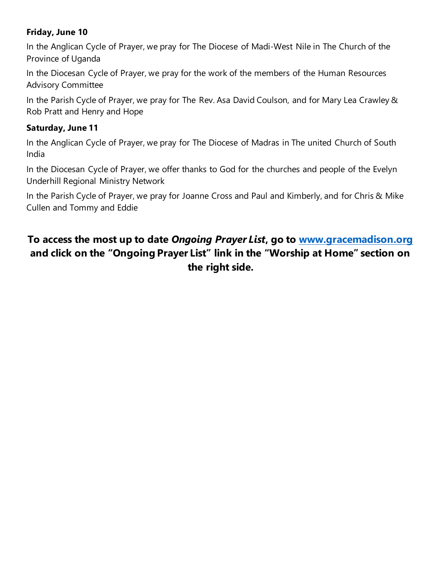#### **Friday, June 10**

In the Anglican Cycle of Prayer, we pray for The Diocese of Madi-West Nile in The Church of the Province of Uganda

In the Diocesan Cycle of Prayer, we pray for the work of the members of the Human Resources Advisory Committee

In the Parish Cycle of Prayer, we pray for The Rev. Asa David Coulson, and for Mary Lea Crawley & Rob Pratt and Henry and Hope

#### **Saturday, June 11**

In the Anglican Cycle of Prayer, we pray for The Diocese of Madras in The united Church of South India

In the Diocesan Cycle of Prayer, we offer thanks to God for the churches and people of the Evelyn Underhill Regional Ministry Network

In the Parish Cycle of Prayer, we pray for Joanne Cross and Paul and Kimberly, and for Chris & Mike Cullen and Tommy and Eddie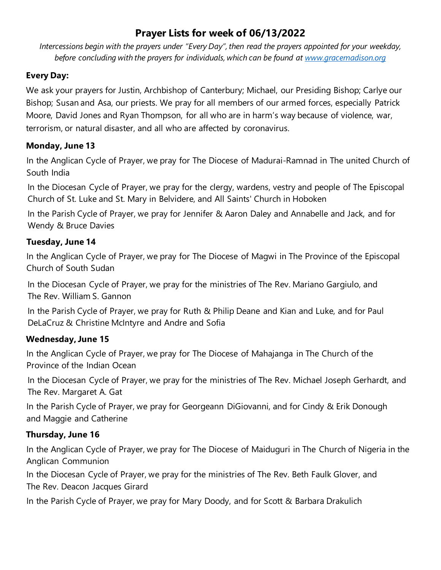## **Prayer Lists for week of 06/13/2022**

*Intercessions begin with the prayers under "Every Day", then read the prayers appointed for your weekday, before concluding with the prayers for individuals, which can be found at [www.gracemadison.org](http://www.gracemadison.org/)* 

#### **Every Day:**

We ask your prayers for Justin, Archbishop of Canterbury; Michael, our Presiding Bishop; Carlye our Bishop; Susan and Asa, our priests. We pray for all members of our armed forces, especially Patrick Moore, David Jones and Ryan Thompson, for all who are in harm's way because of violence, war, terrorism, or natural disaster, and all who are affected by coronavirus.

#### **Monday, June 13**

In the Anglican Cycle of Prayer, we pray for The Diocese of Madurai-Ramnad in The united Church of South India

In the Diocesan Cycle of Prayer, we pray for the clergy, wardens, vestry and people of The Episcopal Church of St. Luke and St. Mary in Belvidere, and All Saints' Church in Hoboken

In the Parish Cycle of Prayer, we pray for Jennifer & Aaron Daley and Annabelle and Jack, and for Wendy & Bruce Davies

### **Tuesday, June 14**

In the Anglican Cycle of Prayer, we pray for The Diocese of Magwi in The Province of the Episcopal Church of South Sudan

In the Diocesan Cycle of Prayer, we pray for the ministries of The Rev. Mariano Gargiulo, and The Rev. William S. Gannon

In the Parish Cycle of Prayer, we pray for Ruth & Philip Deane and Kian and Luke, and for Paul DeLaCruz & Christine McIntyre and Andre and Sofia

#### **Wednesday, June 15**

In the Anglican Cycle of Prayer, we pray for The Diocese of Mahajanga in The Church of the Province of the Indian Ocean

In the Diocesan Cycle of Prayer, we pray for the ministries of The Rev. Michael Joseph Gerhardt, and The Rev. Margaret A. Gat

In the Parish Cycle of Prayer, we pray for Georgeann DiGiovanni, and for Cindy & Erik Donough and Maggie and Catherine

#### **Thursday, June 16**

In the Anglican Cycle of Prayer, we pray for The Diocese of Maiduguri in The Church of Nigeria in the Anglican Communion

In the Diocesan Cycle of Prayer, we pray for the ministries of The Rev. Beth Faulk Glover, and The Rev. Deacon Jacques Girard

In the Parish Cycle of Prayer, we pray for Mary Doody, and for Scott & Barbara Drakulich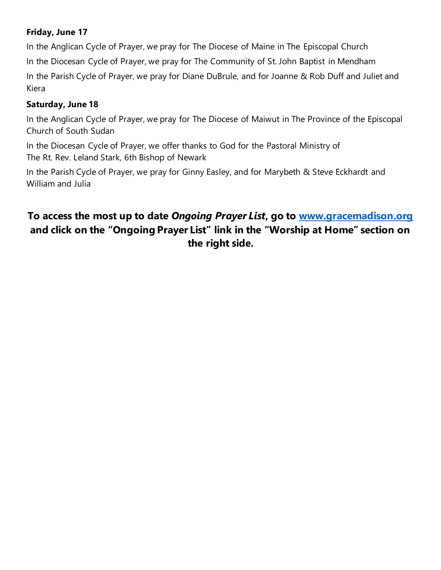#### **Friday, June 17**

In the Anglican Cycle of Prayer, we pray for The Diocese of Maine in The Episcopal Church In the Diocesan Cycle of Prayer, we pray for The Community of St. John Baptist in Mendham In the Parish Cycle of Prayer, we pray for Diane DuBrule, and for Joanne & Rob Duff and Juliet and Kiera

#### **Saturday, June 18**

In the Anglican Cycle of Prayer, we pray for The Diocese of Maiwut in The Province of the Episcopal Church of South Sudan

In the Diocesan Cycle of Prayer, we offer thanks to God for the Pastoral Ministry of The Rt. Rev. Leland Stark, 6th Bishop of Newark

In the Parish Cycle of Prayer, we pray for Ginny Easley, and for Marybeth & Steve Eckhardt and William and Julia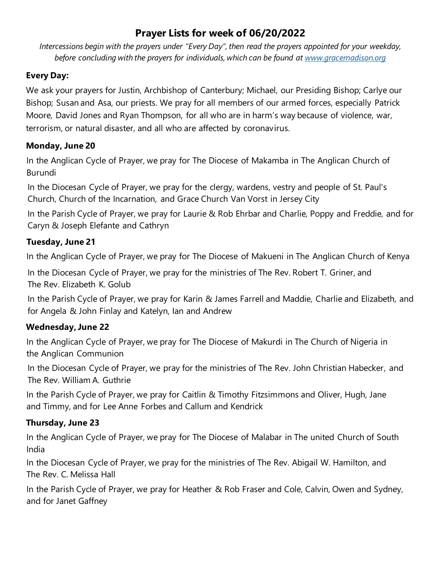## **Prayer Lists for week of 06/20/2022**

*Intercessions begin with the prayers under "Every Day", then read the prayers appointed for your weekday, before concluding with the prayers for individuals, which can be found at [www.gracemadison.org](http://www.gracemadison.org/)* 

#### **Every Day:**

We ask your prayers for Justin, Archbishop of Canterbury; Michael, our Presiding Bishop; Carlye our Bishop; Susan and Asa, our priests. We pray for all members of our armed forces, especially Patrick Moore, David Jones and Ryan Thompson, for all who are in harm's way because of violence, war, terrorism, or natural disaster, and all who are affected by coronavirus.

#### **Monday, June 20**

In the Anglican Cycle of Prayer, we pray for The Diocese of Makamba in The Anglican Church of Burundi

In the Diocesan Cycle of Prayer, we pray for the clergy, wardens, vestry and people of St. Paul's Church, Church of the Incarnation, and Grace Church Van Vorst in Jersey City

In the Parish Cycle of Prayer, we pray for Laurie & Rob Ehrbar and Charlie, Poppy and Freddie, and for Caryn & Joseph Elefante and Cathryn

### **Tuesday, June 21**

In the Anglican Cycle of Prayer, we pray for The Diocese of Makueni in The Anglican Church of Kenya

In the Diocesan Cycle of Prayer, we pray for the ministries of The Rev. Robert T. Griner, and The Rev. Elizabeth K. Golub

In the Parish Cycle of Prayer, we pray for Karin & James Farrell and Maddie, Charlie and Elizabeth, and for Angela & John Finlay and Katelyn, Ian and Andrew

#### **Wednesday, June 22**

In the Anglican Cycle of Prayer, we pray for The Diocese of Makurdi in The Church of Nigeria in the Anglican Communion

In the Diocesan Cycle of Prayer, we pray for the ministries of The Rev. John Christian Habecker, and The Rev. William A. Guthrie

In the Parish Cycle of Prayer, we pray for Caitlin & Timothy Fitzsimmons and Oliver, Hugh, Jane and Timmy, and for Lee Anne Forbes and Callum and Kendrick

### **Thursday, June 23**

In the Anglican Cycle of Prayer, we pray for The Diocese of Malabar in The united Church of South India

In the Diocesan Cycle of Prayer, we pray for the ministries of The Rev. Abigail W. Hamilton, and The Rev. C. Melissa Hall

In the Parish Cycle of Prayer, we pray for Heather & Rob Fraser and Cole, Calvin, Owen and Sydney, and for Janet Gaffney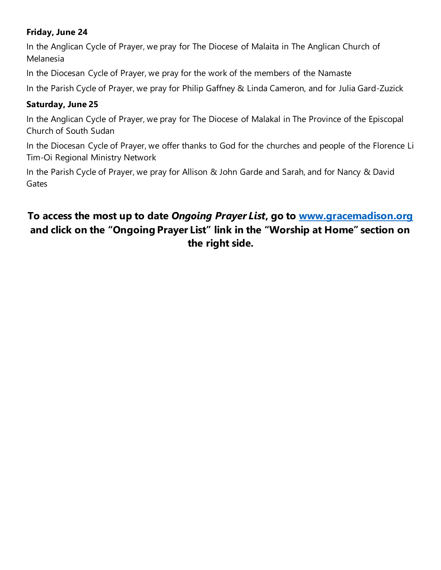#### **Friday, June 24**

In the Anglican Cycle of Prayer, we pray for The Diocese of Malaita in The Anglican Church of Melanesia

In the Diocesan Cycle of Prayer, we pray for the work of the members of the Namaste

In the Parish Cycle of Prayer, we pray for Philip Gaffney & Linda Cameron, and for Julia Gard-Zuzick

#### **Saturday, June 25**

In the Anglican Cycle of Prayer, we pray for The Diocese of Malakal in The Province of the Episcopal Church of South Sudan

In the Diocesan Cycle of Prayer, we offer thanks to God for the churches and people of the Florence Li Tim-Oi Regional Ministry Network

In the Parish Cycle of Prayer, we pray for Allison & John Garde and Sarah, and for Nancy & David **Gates**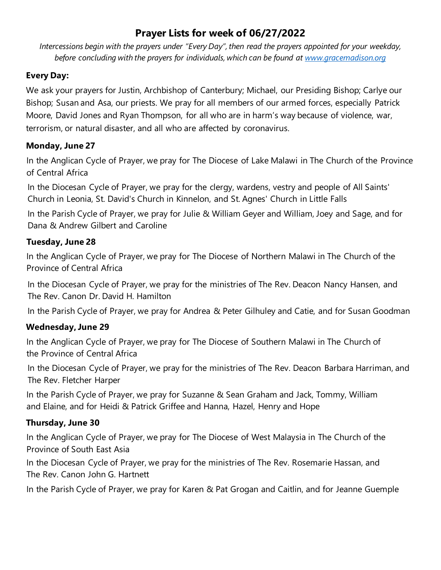## **Prayer Lists for week of 06/27/2022**

*Intercessions begin with the prayers under "Every Day", then read the prayers appointed for your weekday, before concluding with the prayers for individuals, which can be found at [www.gracemadison.org](http://www.gracemadison.org/)* 

#### **Every Day:**

We ask your prayers for Justin, Archbishop of Canterbury; Michael, our Presiding Bishop; Carlye our Bishop; Susan and Asa, our priests. We pray for all members of our armed forces, especially Patrick Moore, David Jones and Ryan Thompson, for all who are in harm's way because of violence, war, terrorism, or natural disaster, and all who are affected by coronavirus.

#### **Monday, June 27**

In the Anglican Cycle of Prayer, we pray for The Diocese of Lake Malawi in The Church of the Province of Central Africa

In the Diocesan Cycle of Prayer, we pray for the clergy, wardens, vestry and people of All Saints' Church in Leonia, St. David's Church in Kinnelon, and St. Agnes' Church in Little Falls

In the Parish Cycle of Prayer, we pray for Julie & William Geyer and William, Joey and Sage, and for Dana & Andrew Gilbert and Caroline

### **Tuesday, June 28**

In the Anglican Cycle of Prayer, we pray for The Diocese of Northern Malawi in The Church of the Province of Central Africa

In the Diocesan Cycle of Prayer, we pray for the ministries of The Rev. Deacon Nancy Hansen, and The Rev. Canon Dr. David H. Hamilton

In the Parish Cycle of Prayer, we pray for Andrea & Peter Gilhuley and Catie, and for Susan Goodman

#### **Wednesday, June 29**

In the Anglican Cycle of Prayer, we pray for The Diocese of Southern Malawi in The Church of the Province of Central Africa

In the Diocesan Cycle of Prayer, we pray for the ministries of The Rev. Deacon Barbara Harriman, and The Rev. Fletcher Harper

In the Parish Cycle of Prayer, we pray for Suzanne & Sean Graham and Jack, Tommy, William and Elaine, and for Heidi & Patrick Griffee and Hanna, Hazel, Henry and Hope

#### **Thursday, June 30**

In the Anglican Cycle of Prayer, we pray for The Diocese of West Malaysia in The Church of the Province of South East Asia

In the Diocesan Cycle of Prayer, we pray for the ministries of The Rev. Rosemarie Hassan, and The Rev. Canon John G. Hartnett

In the Parish Cycle of Prayer, we pray for Karen & Pat Grogan and Caitlin, and for Jeanne Guemple